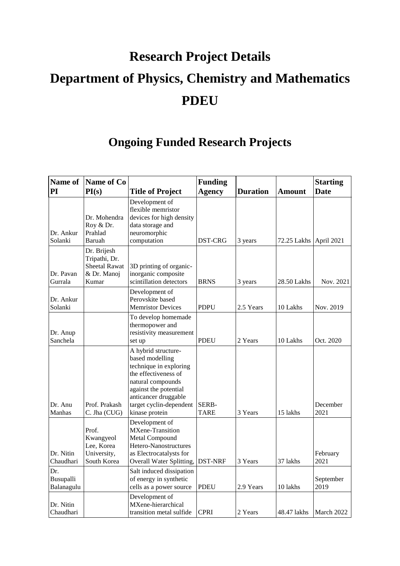## **Research Project Details Department of Physics, Chemistry and Mathematics PDEU**

## **Ongoing Funded Research Projects**

| Name of<br>PI                  | Name of Co<br>PI(s)                                                          | <b>Title of Project</b>                                                                                                                                                                                     | <b>Funding</b><br><b>Agency</b> | <b>Duration</b> | <b>Amount</b> | <b>Starting</b><br><b>Date</b> |
|--------------------------------|------------------------------------------------------------------------------|-------------------------------------------------------------------------------------------------------------------------------------------------------------------------------------------------------------|---------------------------------|-----------------|---------------|--------------------------------|
| Dr. Ankur<br>Solanki           | Dr. Mohendra<br>Roy & Dr.<br>Prahlad<br>Baruah                               | Development of<br>flexible memristor<br>devices for high density<br>data storage and<br>neuromorphic<br>computation                                                                                         | DST-CRG                         | 3 years         | 72.25 Lakhs   | April 2021                     |
| Dr. Pavan<br>Gurrala           | Dr. Brijesh<br>Tripathi, Dr.<br><b>Sheetal Rawat</b><br>& Dr. Manoj<br>Kumar | 3D printing of organic-<br>inorganic composite<br>scintillation detectors                                                                                                                                   | <b>BRNS</b>                     | 3 years         | 28.50 Lakhs   | Nov. 2021                      |
| Dr. Ankur<br>Solanki           |                                                                              | Development of<br>Perovskite based<br><b>Memristor Devices</b>                                                                                                                                              | <b>PDPU</b>                     | 2.5 Years       | 10 Lakhs      | Nov. 2019                      |
| Dr. Anup<br>Sanchela           |                                                                              | To develop homemade<br>thermopower and<br>resistivity measurement<br>set up                                                                                                                                 | <b>PDEU</b>                     | 2 Years         | 10 Lakhs      | Oct. 2020                      |
| Dr. Anu<br>Manhas              | Prof. Prakash<br>C. Jha (CUG)                                                | A hybrid structure-<br>based modelling<br>technique in exploring<br>the effectiveness of<br>natural compounds<br>against the potential<br>anticancer druggable<br>target cyclin-dependent<br>kinase protein | SERB-<br><b>TARE</b>            | 3 Years         | 15 lakhs      | December<br>2021               |
| Dr. Nitin<br>Chaudhari         | Prof.<br>Kwangyeol<br>Lee, Korea<br>University,<br>South Korea               | Development of<br>MXene-Transition<br>Metal Compound<br>Hetero-Nanostructures<br>as Electrocatalysts for<br>Overall Water Splitting,                                                                        | <b>DST-NRF</b>                  | 3 Years         | 37 lakhs      | February<br>2021               |
| Dr.<br>Busupalli<br>Balanagulu |                                                                              | Salt induced dissipation<br>of energy in synthetic<br>cells as a power source                                                                                                                               | <b>PDEU</b>                     | 2.9 Years       | 10 lakhs      | September<br>2019              |
| Dr. Nitin<br>Chaudhari         |                                                                              | Development of<br>MXene-hierarchical<br>transition metal sulfide                                                                                                                                            | <b>CPRI</b>                     | 2 Years         | 48.47 lakhs   | March 2022                     |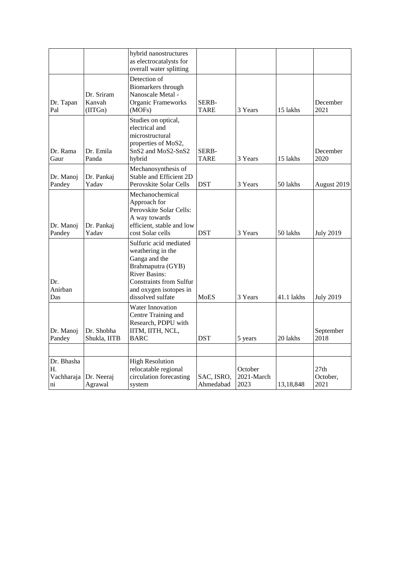|                                                   |                                 | hybrid nanostructures<br>as electrocatalysts for<br>overall water splitting                                                                                                                |                             |                               |            |                                      |
|---------------------------------------------------|---------------------------------|--------------------------------------------------------------------------------------------------------------------------------------------------------------------------------------------|-----------------------------|-------------------------------|------------|--------------------------------------|
| Dr. Tapan<br>Pal                                  | Dr. Sriram<br>Kanvah<br>(IITGn) | Detection of<br>Biomarkers through<br>Nanoscale Metal -<br>Organic Frameworks<br>(MOFs)                                                                                                    | SERB-<br>TARE               | 3 Years                       | 15 lakhs   | December<br>2021                     |
| Dr. Rama<br>Gaur                                  | Dr. Emila<br>Panda              | Studies on optical,<br>electrical and<br>microstructural<br>properties of MoS2,<br>SnS2 and MoS2-SnS2<br>hybrid                                                                            | <b>SERB-</b><br><b>TARE</b> | 3 Years                       | 15 lakhs   | December<br>2020                     |
| Dr. Manoj<br>Pandey                               | Dr. Pankaj<br>Yadav             | Mechanosynthesis of<br>Stable and Efficient 2D<br>Perovskite Solar Cells                                                                                                                   | <b>DST</b>                  | 3 Years                       | 50 lakhs   | August 2019                          |
| Dr. Manoj<br>Pandey                               | Dr. Pankaj<br>Yadav             | Mechanochemical<br>Approach for<br>Perovskite Solar Cells:<br>A way towards<br>efficient, stable and low<br>cost Solar cells                                                               | <b>DST</b>                  | 3 Years                       | 50 lakhs   | <b>July 2019</b>                     |
| Dr.<br>Anirban<br>Das                             |                                 | Sulfuric acid mediated<br>weathering in the<br>Ganga and the<br>Brahmaputra (GYB)<br><b>River Basins:</b><br><b>Constraints from Sulfur</b><br>and oxygen isotopes in<br>dissolved sulfate | <b>MoES</b>                 | 3 Years                       | 41.1 lakhs | <b>July 2019</b>                     |
| Dr. Manoj<br>Pandey                               | Dr. Shobha<br>Shukla, IITB      | Water Innovation<br>Centre Training and<br>Research, PDPU with<br>IITM, IITH, NCL,<br><b>BARC</b>                                                                                          | <b>DST</b>                  | 5 years                       | 20 lakhs   | September<br>2018                    |
|                                                   |                                 |                                                                                                                                                                                            |                             |                               |            |                                      |
| Dr. Bhasha<br>Н.<br>Vachharaja<br>$\overline{ni}$ | Dr. Neeraj<br>Agrawal           | <b>High Resolution</b><br>relocatable regional<br>circulation forecasting<br>system                                                                                                        | SAC, ISRO,<br>Ahmedabad     | October<br>2021-March<br>2023 | 13,18,848  | 27 <sub>th</sub><br>October,<br>2021 |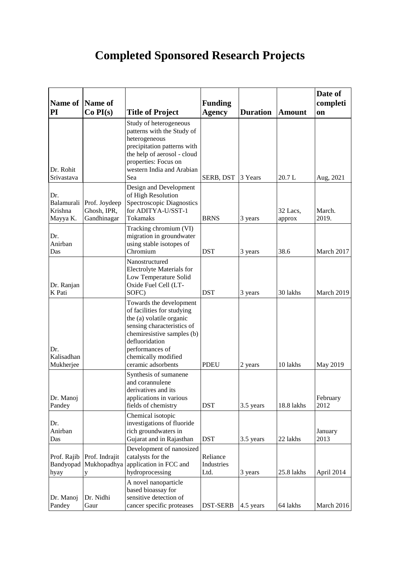## **Completed Sponsored Research Projects**

| <b>Name of</b>                           | Name of                                     |                                                                                                                                                                                                                                 | <b>Funding</b>                 |                 |                    | Date of<br>completi |
|------------------------------------------|---------------------------------------------|---------------------------------------------------------------------------------------------------------------------------------------------------------------------------------------------------------------------------------|--------------------------------|-----------------|--------------------|---------------------|
| PI                                       | Co PI(s)                                    | <b>Title of Project</b>                                                                                                                                                                                                         | <b>Agency</b>                  | <b>Duration</b> | <b>Amount</b>      | on                  |
| Dr. Rohit<br>Srivastava                  |                                             | Study of heterogeneous<br>patterns with the Study of<br>heterogeneous<br>precipitation patterns with<br>the help of aerosol - cloud<br>properties: Focus on<br>western India and Arabian<br>Sea                                 | SERB, DST                      | 3 Years         | 20.7L              | Aug, 2021           |
| Dr.<br>Balamurali<br>Krishna<br>Mayya K. | Prof. Joydeep<br>Ghosh, IPR,<br>Gandhinagar | Design and Development<br>of High Resolution<br>Spectroscopic Diagnostics<br>for ADITYA-U/SST-1<br><b>Tokamaks</b>                                                                                                              | <b>BRNS</b>                    | 3 years         | 32 Lacs,<br>approx | March.<br>2019.     |
| Dr.<br>Anirban<br>Das                    |                                             | Tracking chromium (VI)<br>migration in groundwater<br>using stable isotopes of<br>Chromium                                                                                                                                      | <b>DST</b>                     | 3 years         | 38.6               | March 2017          |
| Dr. Ranjan<br>K Pati                     |                                             | Nanostructured<br>Electrolyte Materials for<br>Low Temperature Solid<br>Oxide Fuel Cell (LT-<br>SOFC)                                                                                                                           | <b>DST</b>                     | 3 years         | 30 lakhs           | March 2019          |
| Dr.<br>Kalisadhan<br>Mukherjee           |                                             | Towards the development<br>of facilities for studying<br>the (a) volatile organic<br>sensing characteristics of<br>chemiresistive samples (b)<br>defluoridation<br>performances of<br>chemically modified<br>ceramic adsorbents | <b>PDEU</b>                    | 2 years         | 10 lakhs           | May 2019            |
| Dr. Manoj<br>Pandey                      |                                             | Synthesis of sumanene<br>and corannulene<br>derivatives and its<br>applications in various<br>fields of chemistry                                                                                                               | <b>DST</b>                     | 3.5 years       | 18.8 lakhs         | February<br>2012    |
| Dr.<br>Anirban<br>Das                    |                                             | Chemical isotopic<br>investigations of fluoride<br>rich groundwaters in<br>Gujarat and in Rajasthan                                                                                                                             | <b>DST</b>                     | 3.5 years       | 22 lakhs           | January<br>2013     |
| Prof. Rajib<br>Bandyopad<br>hyay         | Prof. Indrajit<br>Mukhopadhya<br>y          | Development of nanosized<br>catalysts for the<br>application in FCC and<br>hydroprocessing                                                                                                                                      | Reliance<br>Industries<br>Ltd. | 3 years         | 25.8 lakhs         | April 2014          |
| Dr. Manoj<br>Pandey                      | Dr. Nidhi<br>Gaur                           | A novel nanoparticle<br>based bioassay for<br>sensitive detection of<br>cancer specific proteases                                                                                                                               | DST-SERB                       | 4.5 years       | 64 lakhs           | March 2016          |